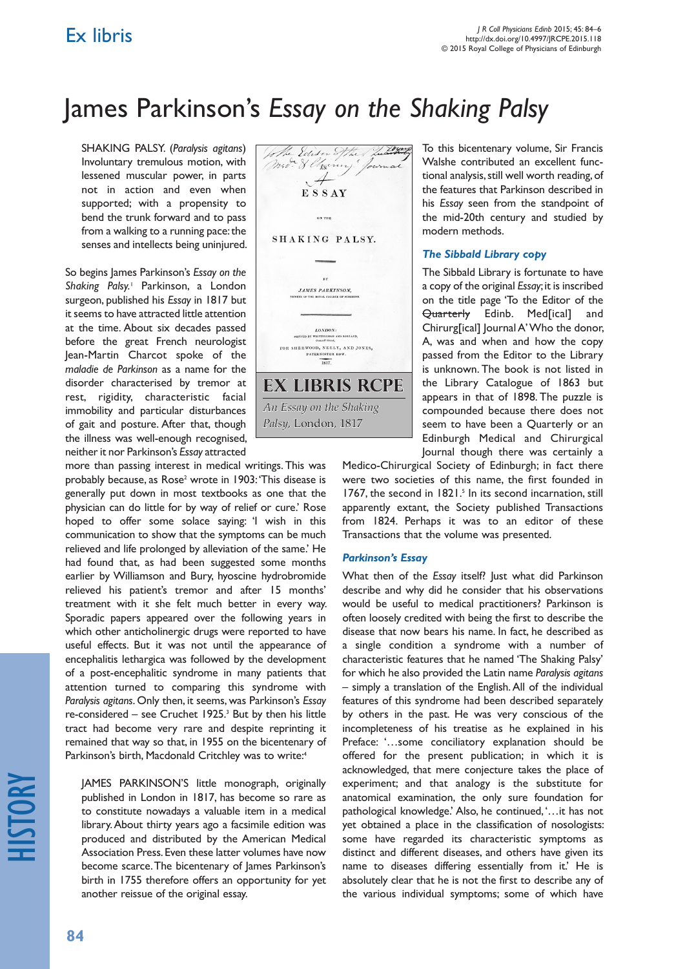# James Parkinson's *Essay on the Shaking Palsy*

SHAKING PALSY. (*Paralysis agitans*) Involuntary tremulous motion, with lessened muscular power, in parts not in action and even when supported; with a propensity to bend the trunk forward and to pass from a walking to a running pace: the senses and intellects being uninjured.

So begins James Parkinson's *Essay on the*  Shaking Palsy.<sup>1</sup> Parkinson, a London surgeon, published his *Essay* in 1817 but it seems to have attracted little attention at the time. About six decades passed before the great French neurologist Jean-Martin Charcot spoke of the *maladie de Parkinson* as a name for the disorder characterised by tremor at rest, rigidity, characteristic facial immobility and particular disturbances of gait and posture. After that, though the illness was well-enough recognised, neither it nor Parkinson's *Essay* attracted

more than passing interest in medical writings. This was probably because, as Rose<sup>2</sup> wrote in 1903: 'This disease is generally put down in most textbooks as one that the physician can do little for by way of relief or cure.' Rose hoped to offer some solace saying: 'I wish in this communication to show that the symptoms can be much relieved and life prolonged by alleviation of the same.' He had found that, as had been suggested some months earlier by Williamson and Bury, hyoscine hydrobromide relieved his patient's tremor and after 15 months' treatment with it she felt much better in every way. Sporadic papers appeared over the following years in which other anticholinergic drugs were reported to have useful effects. But it was not until the appearance of encephalitis lethargica was followed by the development of a post-encephalitic syndrome in many patients that attention turned to comparing this syndrome with *Paralysis agitans*. Only then, it seems, was Parkinson's *Essay* re-considered – see Cruchet 1925.<sup>3</sup> But by then his little tract had become very rare and despite reprinting it remained that way so that, in 1955 on the bicentenary of Parkinson's birth, Macdonald Critchley was to write:<sup>4</sup>

JAMES PARKINSON'S little monograph, originally published in London in 1817, has become so rare as to constitute nowadays a valuable item in a medical library. About thirty years ago a facsimile edition was produced and distributed by the American Medical Association Press. Even these latter volumes have now become scarce. The bicentenary of lames Parkinson's birth in 1755 therefore offers an opportunity for yet another reissue of the original essay.



To this bicentenary volume, Sir Francis Walshe contributed an excellent functional analysis, still well worth reading, of the features that Parkinson described in his *Essay* seen from the standpoint of the mid-20th century and studied by modern methods.

### *The Sibbald Library copy*

The Sibbald Library is fortunate to have a copy of the original *Essay*; it is inscribed on the title page 'To the Editor of the Quarterly Edinb. Med[ical] and Chirurg[ical] Journal A' Who the donor, A, was and when and how the copy passed from the Editor to the Library is unknown. The book is not listed in the Library Catalogue of 1863 but appears in that of 1898. The puzzle is compounded because there does not seem to have been a Quarterly or an Edinburgh Medical and Chirurgical Journal though there was certainly a

Medico-Chirurgical Society of Edinburgh; in fact there were two societies of this name, the first founded in 1767, the second in 1821.<sup>5</sup> In its second incarnation, still apparently extant, the Society published Transactions from 1824. Perhaps it was to an editor of these Transactions that the volume was presented.

## *Parkinson's Essay*

What then of the *Essay* itself? Just what did Parkinson describe and why did he consider that his observations would be useful to medical practitioners? Parkinson is often loosely credited with being the first to describe the disease that now bears his name. In fact, he described as a single condition a syndrome with a number of characteristic features that he named 'The Shaking Palsy' for which he also provided the Latin name *Paralysis agitans* – simply a translation of the English. All of the individual features of this syndrome had been described separately by others in the past. He was very conscious of the incompleteness of his treatise as he explained in his Preface: '…some conciliatory explanation should be offered for the present publication; in which it is acknowledged, that mere conjecture takes the place of experiment; and that analogy is the substitute for anatomical examination, the only sure foundation for pathological knowledge.' Also, he continued, '…it has not yet obtained a place in the classification of nosologists: some have regarded its characteristic symptoms as distinct and different diseases, and others have given its name to diseases differing essentially from it.' He is absolutely clear that he is not the first to describe any of the various individual symptoms; some of which have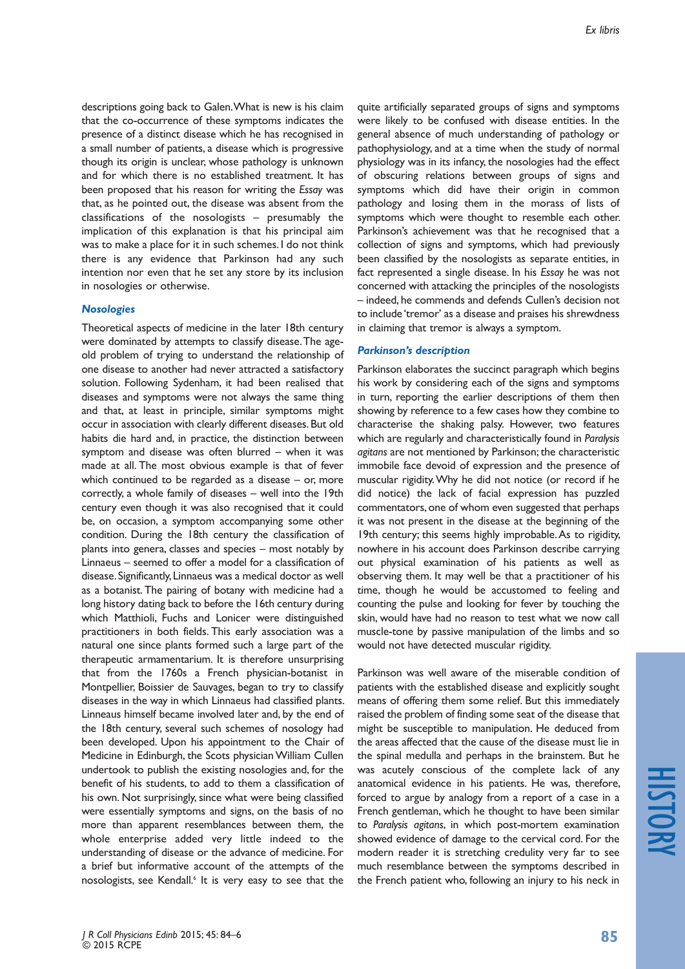descriptions going back to Galen. What is new is his claim that the co-occurrence of these symptoms indicates the presence of a distinct disease which he has recognised in a small number of patients, a disease which is progressive though its origin is unclear, whose pathology is unknown and for which there is no established treatment. It has been proposed that his reason for writing the *Essay* was that, as he pointed out, the disease was absent from the classifications of the nosologists – presumably the implication of this explanation is that his principal aim was to make a place for it in such schemes. I do not think there is any evidence that Parkinson had any such intention nor even that he set any store by its inclusion in nosologies or otherwise.

#### *Nosologies*

Theoretical aspects of medicine in the later 18th century were dominated by attempts to classify disease. The ageold problem of trying to understand the relationship of one disease to another had never attracted a satisfactory solution. Following Sydenham, it had been realised that diseases and symptoms were not always the same thing and that, at least in principle, similar symptoms might occur in association with clearly different diseases. But old habits die hard and, in practice, the distinction between symptom and disease was often blurred – when it was made at all. The most obvious example is that of fever which continued to be regarded as a disease – or, more correctly, a whole family of diseases – well into the 19th century even though it was also recognised that it could be, on occasion, a symptom accompanying some other condition. During the 18th century the classification of plants into genera, classes and species – most notably by Linnaeus – seemed to offer a model for a classification of disease. Significantly, Linnaeus was a medical doctor as well as a botanist. The pairing of botany with medicine had a long history dating back to before the 16th century during which Matthioli, Fuchs and Lonicer were distinguished practitioners in both fields. This early association was a natural one since plants formed such a large part of the therapeutic armamentarium. It is therefore unsurprising that from the 1760s a French physician-botanist in Montpellier, Boissier de Sauvages, began to try to classify diseases in the way in which Linnaeus had classified plants. Linneaus himself became involved later and, by the end of the 18th century, several such schemes of nosology had been developed. Upon his appointment to the Chair of Medicine in Edinburgh, the Scots physician William Cullen undertook to publish the existing nosologies and, for the benefit of his students, to add to them a classification of his own. Not surprisingly, since what were being classified were essentially symptoms and signs, on the basis of no more than apparent resemblances between them, the whole enterprise added very little indeed to the understanding of disease or the advance of medicine. For a brief but informative account of the attempts of the nosologists, see Kendall.<sup>6</sup> It is very easy to see that the

quite artificially separated groups of signs and symptoms were likely to be confused with disease entities. In the general absence of much understanding of pathology or pathophysiology, and at a time when the study of normal physiology was in its infancy, the nosologies had the effect of obscuring relations between groups of signs and symptoms which did have their origin in common pathology and losing them in the morass of lists of symptoms which were thought to resemble each other. Parkinson's achievement was that he recognised that a collection of signs and symptoms, which had previously been classified by the nosologists as separate entities, in fact represented a single disease. In his *Essay* he was not concerned with attacking the principles of the nosologists – indeed, he commends and defends Cullen's decision not to include 'tremor' as a disease and praises his shrewdness in claiming that tremor is always a symptom.

#### *Parkinson's description*

Parkinson elaborates the succinct paragraph which begins his work by considering each of the signs and symptoms in turn, reporting the earlier descriptions of them then showing by reference to a few cases how they combine to characterise the shaking palsy. However, two features which are regularly and characteristically found in *Paralysis agitans* are not mentioned by Parkinson; the characteristic immobile face devoid of expression and the presence of muscular rigidity. Why he did not notice (or record if he did notice) the lack of facial expression has puzzled commentators, one of whom even suggested that perhaps it was not present in the disease at the beginning of the 19th century; this seems highly improbable. As to rigidity, nowhere in his account does Parkinson describe carrying out physical examination of his patients as well as observing them. It may well be that a practitioner of his time, though he would be accustomed to feeling and counting the pulse and looking for fever by touching the skin, would have had no reason to test what we now call muscle-tone by passive manipulation of the limbs and so would not have detected muscular rigidity.

Parkinson was well aware of the miserable condition of patients with the established disease and explicitly sought means of offering them some relief. But this immediately raised the problem of finding some seat of the disease that might be susceptible to manipulation. He deduced from the areas affected that the cause of the disease must lie in the spinal medulla and perhaps in the brainstem. But he was acutely conscious of the complete lack of any anatomical evidence in his patients. He was, therefore, forced to argue by analogy from a report of a case in a French gentleman, which he thought to have been similar to *Paralysis agitans*, in which post-mortem examination showed evidence of damage to the cervical cord. For the modern reader it is stretching credulity very far to see much resemblance between the symptoms described in the French patient who, following an injury to his neck in